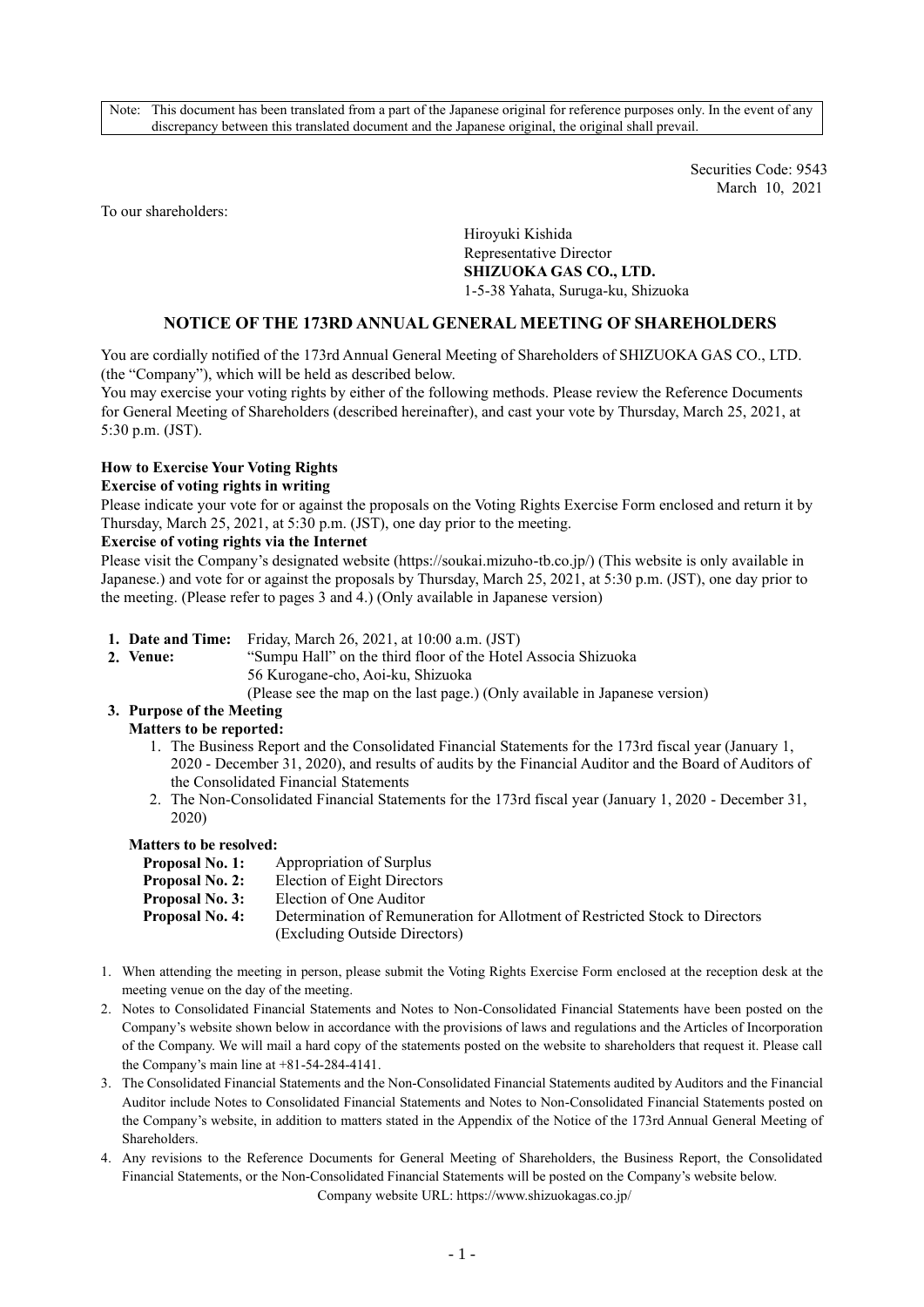Note: This document has been translated from a part of the Japanese original for reference purposes only. In the event of any discrepancy between this translated document and the Japanese original, the original shall prevail.

> Securities Code: 9543 March 10, 2021

To our shareholders:

Hiroyuki Kishida Representative Director **SHIZUOKA GAS CO., LTD.** 1-5-38 Yahata, Suruga-ku, Shizuoka

## **NOTICE OF THE 173RD ANNUAL GENERAL MEETING OF SHAREHOLDERS**

You are cordially notified of the 173rd Annual General Meeting of Shareholders of SHIZUOKA GAS CO., LTD. (the "Company"), which will be held as described below.

You may exercise your voting rights by either of the following methods. Please review the Reference Documents for General Meeting of Shareholders (described hereinafter), and cast your vote by Thursday, March 25, 2021, at 5:30 p.m. (JST).

### **How to Exercise Your Voting Rights**

#### **Exercise of voting rights in writing**

Please indicate your vote for or against the proposals on the Voting Rights Exercise Form enclosed and return it by Thursday, March 25, 2021, at 5:30 p.m. (JST), one day prior to the meeting.

#### **Exercise of voting rights via the Internet**

Please visit the Company's designated website (https://soukai.mizuho-tb.co.jp/) (This website is only available in Japanese.) and vote for or against the proposals by Thursday, March 25, 2021, at 5:30 p.m. (JST), one day prior to the meeting. (Please refer to pages 3 and 4.) (Only available in Japanese version)

- **1. Date and Time:** Friday, March 26, 2021, at 10:00 a.m. (JST)
- 
- **2. Venue:** "Sumpu Hall" on the third floor of the Hotel Associa Shizuoka 56 Kurogane-cho, Aoi-ku, Shizuoka
	- (Please see the map on the last page.) (Only available in Japanese version)

# **3. Purpose of the Meeting**

#### **Matters to be reported:**

- 1. The Business Report and the Consolidated Financial Statements for the 173rd fiscal year (January 1, 2020 - December 31, 2020), and results of audits by the Financial Auditor and the Board of Auditors of the Consolidated Financial Statements
- 2. The Non-Consolidated Financial Statements for the 173rd fiscal year (January 1, 2020 December 31, 2020)

## **Matters to be resolved:**

| Proposal No. 1: | Appropriation of Surplus                                                     |
|-----------------|------------------------------------------------------------------------------|
| Proposal No. 2: | Election of Eight Directors                                                  |
| Proposal No. 3: | Election of One Auditor                                                      |
| Proposal No. 4: | Determination of Remuneration for Allotment of Restricted Stock to Directors |
|                 | (Excluding Outside Directors)                                                |

- 1. When attending the meeting in person, please submit the Voting Rights Exercise Form enclosed at the reception desk at the meeting venue on the day of the meeting.
- 2. Notes to Consolidated Financial Statements and Notes to Non-Consolidated Financial Statements have been posted on the Company's website shown below in accordance with the provisions of laws and regulations and the Articles of Incorporation of the Company. We will mail a hard copy of the statements posted on the website to shareholders that request it. Please call the Company's main line at +81-54-284-4141.
- 3. The Consolidated Financial Statements and the Non-Consolidated Financial Statements audited by Auditors and the Financial Auditor include Notes to Consolidated Financial Statements and Notes to Non-Consolidated Financial Statements posted on the Company's website, in addition to matters stated in the Appendix of the Notice of the 173rd Annual General Meeting of Shareholders.
- 4. Any revisions to the Reference Documents for General Meeting of Shareholders, the Business Report, the Consolidated Financial Statements, or the Non-Consolidated Financial Statements will be posted on the Company's website below.

Company website URL: https://www.shizuokagas.co.jp/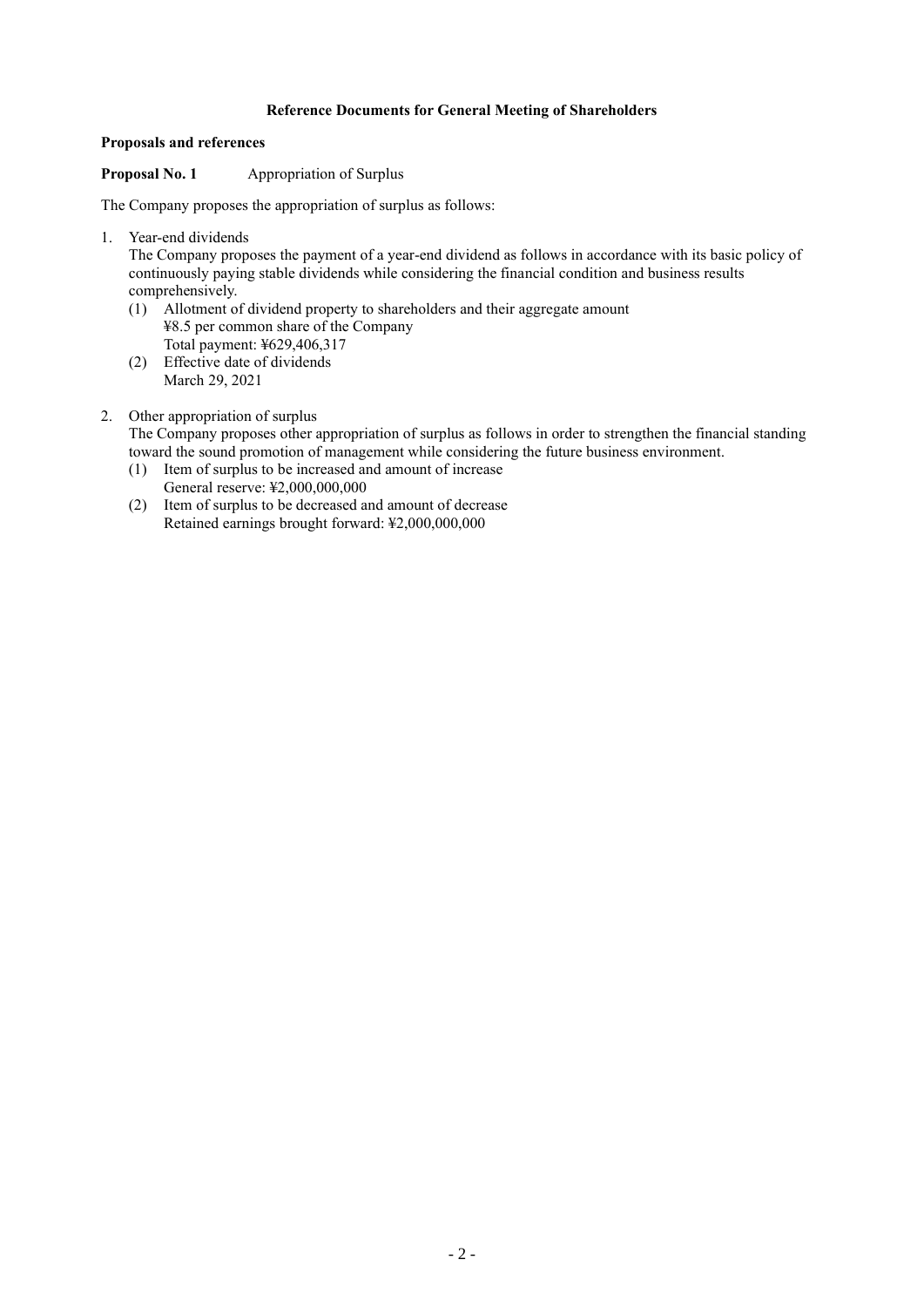# **Reference Documents for General Meeting of Shareholders**

## **Proposals and references**

## **Proposal No. 1** Appropriation of Surplus

The Company proposes the appropriation of surplus as follows:

1. Year-end dividends

The Company proposes the payment of a year-end dividend as follows in accordance with its basic policy of continuously paying stable dividends while considering the financial condition and business results comprehensively.

- (1) Allotment of dividend property to shareholders and their aggregate amount ¥8.5 per common share of the Company Total payment: ¥629,406,317
- (2) Effective date of dividends March 29, 2021

# 2. Other appropriation of surplus

The Company proposes other appropriation of surplus as follows in order to strengthen the financial standing toward the sound promotion of management while considering the future business environment.

- (1) Item of surplus to be increased and amount of increase General reserve: ¥2,000,000,000
- (2) Item of surplus to be decreased and amount of decrease Retained earnings brought forward: ¥2,000,000,000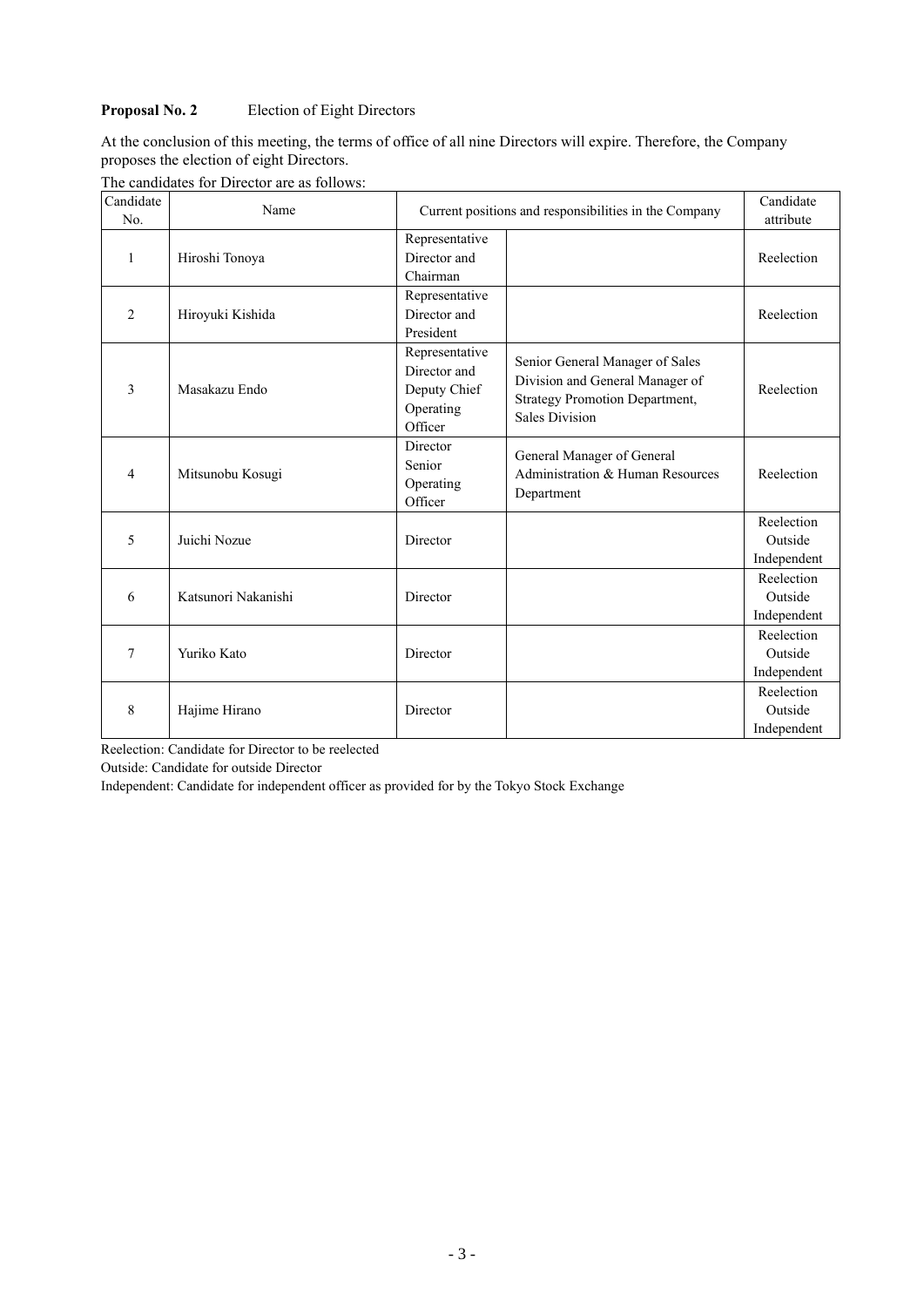# **Proposal No. 2** Election of Eight Directors

At the conclusion of this meeting, the terms of office of all nine Directors will expire. Therefore, the Company proposes the election of eight Directors.

| The candidates for Director are as follows: |
|---------------------------------------------|
|---------------------------------------------|

| Candidate<br>No. | Name                | Current positions and responsibilities in the Company                  | Candidate<br>attribute                                                                                                               |                                      |
|------------------|---------------------|------------------------------------------------------------------------|--------------------------------------------------------------------------------------------------------------------------------------|--------------------------------------|
| 1                | Hiroshi Tonoya      | Representative<br>Director and<br>Chairman                             |                                                                                                                                      | Reelection                           |
| $\overline{2}$   | Hiroyuki Kishida    | Representative<br>Director and<br>President                            |                                                                                                                                      | Reelection                           |
| 3                | Masakazu Endo       | Representative<br>Director and<br>Deputy Chief<br>Operating<br>Officer | Senior General Manager of Sales<br>Division and General Manager of<br><b>Strategy Promotion Department,</b><br><b>Sales Division</b> | Reelection                           |
| 4                | Mitsunobu Kosugi    | Director<br>Senior<br>Operating<br>Officer                             | General Manager of General<br>Administration & Human Resources<br>Department                                                         | Reelection                           |
| 5                | Juichi Nozue        | Director                                                               |                                                                                                                                      | Reelection<br>Outside<br>Independent |
| 6                | Katsunori Nakanishi | Director                                                               |                                                                                                                                      | Reelection<br>Outside<br>Independent |
| 7                | Yuriko Kato         | Director                                                               |                                                                                                                                      | Reelection<br>Outside<br>Independent |
| 8                | Hajime Hirano       | Director                                                               |                                                                                                                                      | Reelection<br>Outside<br>Independent |

Reelection: Candidate for Director to be reelected

Outside: Candidate for outside Director

Independent: Candidate for independent officer as provided for by the Tokyo Stock Exchange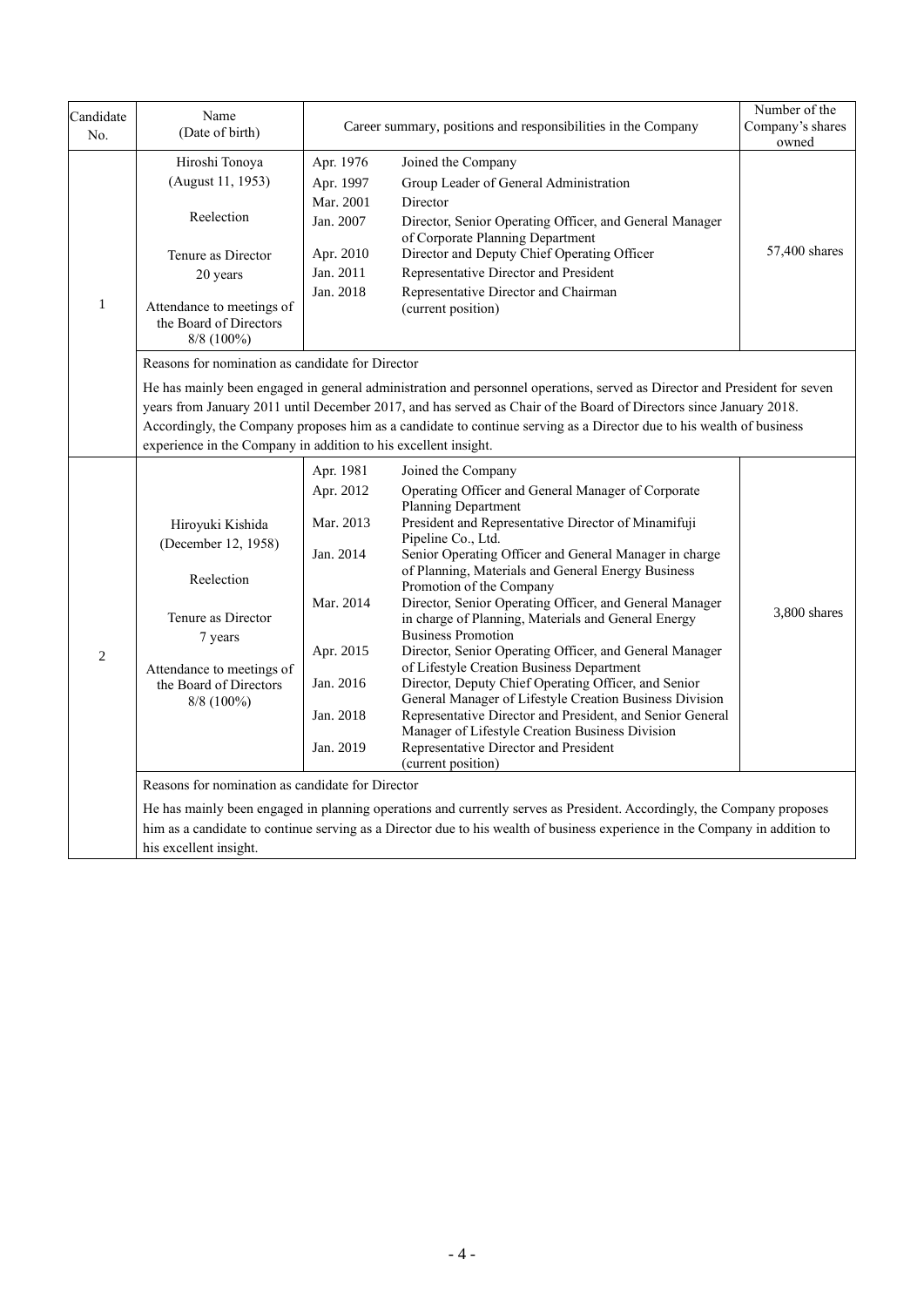| Candidate<br>No. | Name<br>(Date of birth)                                                                                                                                                                                                                                                                                                                                                                                                                                                                                                                                                              | Career summary, positions and responsibilities in the Company                                                     | Number of the<br>Company's shares<br>owned                                                                                                                                                                                                                                                                                                                                                                                                                                                                                                                                                                                                                                                                                                                                                                                                                                        |              |  |  |
|------------------|--------------------------------------------------------------------------------------------------------------------------------------------------------------------------------------------------------------------------------------------------------------------------------------------------------------------------------------------------------------------------------------------------------------------------------------------------------------------------------------------------------------------------------------------------------------------------------------|-------------------------------------------------------------------------------------------------------------------|-----------------------------------------------------------------------------------------------------------------------------------------------------------------------------------------------------------------------------------------------------------------------------------------------------------------------------------------------------------------------------------------------------------------------------------------------------------------------------------------------------------------------------------------------------------------------------------------------------------------------------------------------------------------------------------------------------------------------------------------------------------------------------------------------------------------------------------------------------------------------------------|--------------|--|--|
| $\mathbf{1}$     | Hiroshi Tonoya<br>Apr. 1976<br>Joined the Company<br>(August 11, 1953)<br>Group Leader of General Administration<br>Apr. 1997<br>Mar. 2001<br>Director<br>Reelection<br>Jan. 2007<br>Director, Senior Operating Officer, and General Manager<br>of Corporate Planning Department<br>Director and Deputy Chief Operating Officer<br>Apr. 2010<br>Tenure as Director<br>Jan. 2011<br>Representative Director and President<br>20 years<br>Jan. 2018<br>Representative Director and Chairman<br>Attendance to meetings of<br>(current position)<br>the Board of Directors<br>8/8 (100%) |                                                                                                                   | 57,400 shares                                                                                                                                                                                                                                                                                                                                                                                                                                                                                                                                                                                                                                                                                                                                                                                                                                                                     |              |  |  |
|                  | Reasons for nomination as candidate for Director<br>He has mainly been engaged in general administration and personnel operations, served as Director and President for seven<br>years from January 2011 until December 2017, and has served as Chair of the Board of Directors since January 2018.<br>Accordingly, the Company proposes him as a candidate to continue serving as a Director due to his wealth of business<br>experience in the Company in addition to his excellent insight.                                                                                       |                                                                                                                   |                                                                                                                                                                                                                                                                                                                                                                                                                                                                                                                                                                                                                                                                                                                                                                                                                                                                                   |              |  |  |
| $\overline{2}$   | Hiroyuki Kishida<br>(December 12, 1958)<br>Reelection<br>Tenure as Director<br>7 years<br>Attendance to meetings of<br>the Board of Directors<br>8/8 (100%)                                                                                                                                                                                                                                                                                                                                                                                                                          | Apr. 1981<br>Apr. 2012<br>Mar. 2013<br>Jan. 2014<br>Mar. 2014<br>Apr. 2015<br>Jan. 2016<br>Jan. 2018<br>Jan. 2019 | Joined the Company<br>Operating Officer and General Manager of Corporate<br>Planning Department<br>President and Representative Director of Minamifuji<br>Pipeline Co., Ltd.<br>Senior Operating Officer and General Manager in charge<br>of Planning, Materials and General Energy Business<br>Promotion of the Company<br>Director, Senior Operating Officer, and General Manager<br>in charge of Planning, Materials and General Energy<br><b>Business Promotion</b><br>Director, Senior Operating Officer, and General Manager<br>of Lifestyle Creation Business Department<br>Director, Deputy Chief Operating Officer, and Senior<br>General Manager of Lifestyle Creation Business Division<br>Representative Director and President, and Senior General<br>Manager of Lifestyle Creation Business Division<br>Representative Director and President<br>(current position) | 3,800 shares |  |  |
|                  | Reasons for nomination as candidate for Director<br>his excellent insight.                                                                                                                                                                                                                                                                                                                                                                                                                                                                                                           |                                                                                                                   | He has mainly been engaged in planning operations and currently serves as President. Accordingly, the Company proposes<br>him as a candidate to continue serving as a Director due to his wealth of business experience in the Company in addition to                                                                                                                                                                                                                                                                                                                                                                                                                                                                                                                                                                                                                             |              |  |  |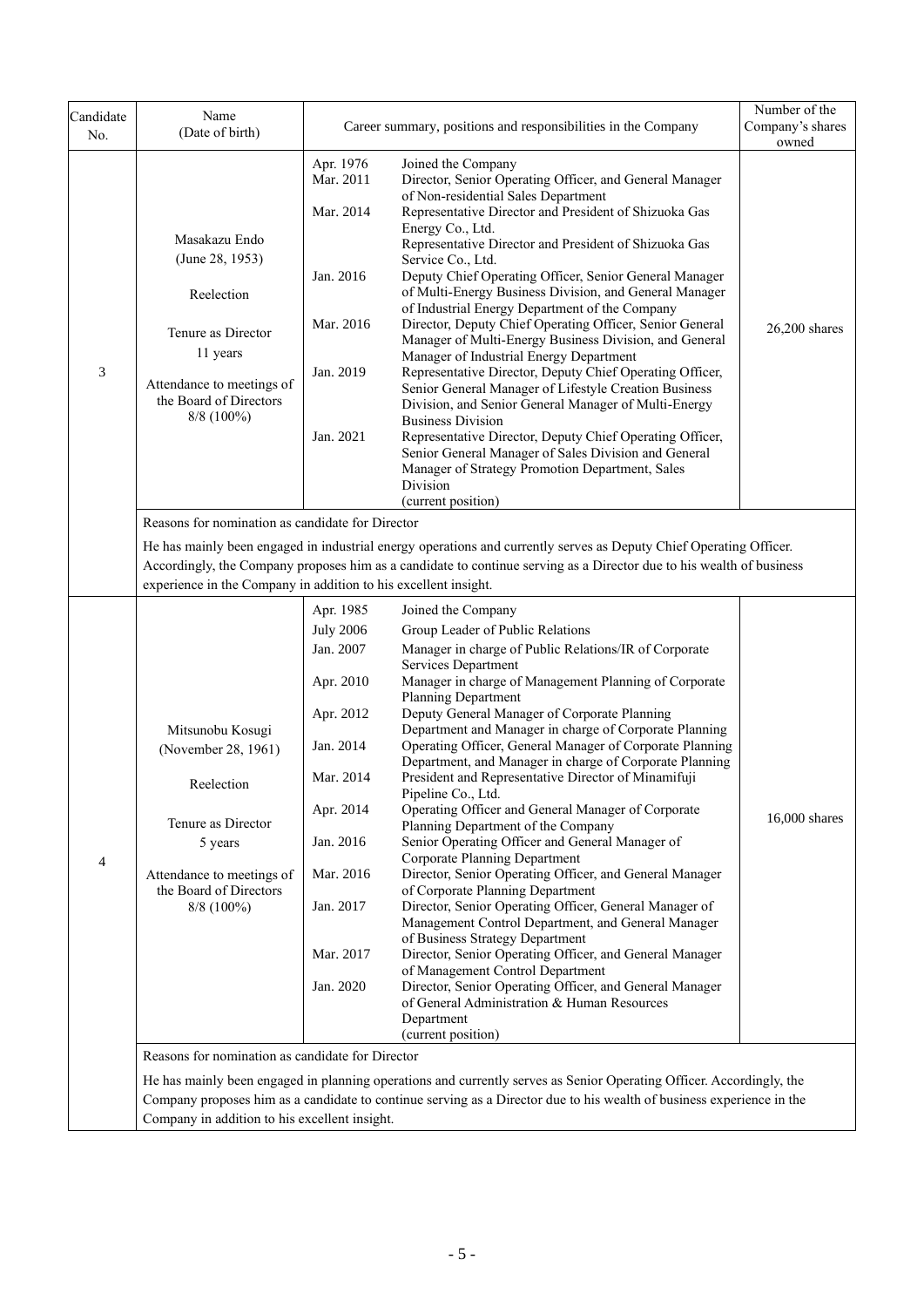| Candidate<br>No.         | Name<br>(Date of birth)                                                                                                                                                                                                                                                                                                                                           |                                                                                                                                                                              | Career summary, positions and responsibilities in the Company                                                                                                                                                                                                                                                                                                                                                                                                                                                                                                                                                                                                                                                                                                                                                                                                                                                                                                                                                                                                                                                                                                                                                       | Number of the<br>Company's shares<br>owned |  |  |  |
|--------------------------|-------------------------------------------------------------------------------------------------------------------------------------------------------------------------------------------------------------------------------------------------------------------------------------------------------------------------------------------------------------------|------------------------------------------------------------------------------------------------------------------------------------------------------------------------------|---------------------------------------------------------------------------------------------------------------------------------------------------------------------------------------------------------------------------------------------------------------------------------------------------------------------------------------------------------------------------------------------------------------------------------------------------------------------------------------------------------------------------------------------------------------------------------------------------------------------------------------------------------------------------------------------------------------------------------------------------------------------------------------------------------------------------------------------------------------------------------------------------------------------------------------------------------------------------------------------------------------------------------------------------------------------------------------------------------------------------------------------------------------------------------------------------------------------|--------------------------------------------|--|--|--|
| 3                        | Masakazu Endo<br>(June 28, 1953)<br>Reelection<br>Tenure as Director<br>11 years<br>Attendance to meetings of<br>the Board of Directors<br>$8/8$ (100%)                                                                                                                                                                                                           | Apr. 1976<br>Mar. 2011<br>Mar. 2014<br>Jan. 2016<br>Mar. 2016<br>Jan. 2019<br>Jan. 2021                                                                                      | Joined the Company<br>Director, Senior Operating Officer, and General Manager<br>of Non-residential Sales Department<br>Representative Director and President of Shizuoka Gas<br>Energy Co., Ltd.<br>Representative Director and President of Shizuoka Gas<br>Service Co., Ltd.<br>Deputy Chief Operating Officer, Senior General Manager<br>of Multi-Energy Business Division, and General Manager<br>of Industrial Energy Department of the Company<br>Director, Deputy Chief Operating Officer, Senior General<br>Manager of Multi-Energy Business Division, and General<br>Manager of Industrial Energy Department<br>Representative Director, Deputy Chief Operating Officer,<br>Senior General Manager of Lifestyle Creation Business<br>Division, and Senior General Manager of Multi-Energy<br><b>Business Division</b><br>Representative Director, Deputy Chief Operating Officer,<br>Senior General Manager of Sales Division and General<br>Manager of Strategy Promotion Department, Sales<br>Division<br>(current position)                                                                                                                                                                            | $26,200$ shares                            |  |  |  |
|                          | Reasons for nomination as candidate for Director<br>He has mainly been engaged in industrial energy operations and currently serves as Deputy Chief Operating Officer.<br>Accordingly, the Company proposes him as a candidate to continue serving as a Director due to his wealth of business<br>experience in the Company in addition to his excellent insight. |                                                                                                                                                                              |                                                                                                                                                                                                                                                                                                                                                                                                                                                                                                                                                                                                                                                                                                                                                                                                                                                                                                                                                                                                                                                                                                                                                                                                                     |                                            |  |  |  |
| $\overline{\mathcal{A}}$ | Mitsunobu Kosugi<br>(November 28, 1961)<br>Reelection<br>Tenure as Director<br>5 years<br>Attendance to meetings of<br>the Board of Directors<br>8/8 (100%)                                                                                                                                                                                                       | Apr. 1985<br><b>July 2006</b><br>Jan. 2007<br>Apr. 2010<br>Apr. 2012<br>Jan. 2014<br>Mar. 2014<br>Apr. 2014<br>Jan. 2016<br>Mar. 2016<br>Jan. 2017<br>Mar. 2017<br>Jan. 2020 | Joined the Company<br>Group Leader of Public Relations<br>Manager in charge of Public Relations/IR of Corporate<br>Services Department<br>Manager in charge of Management Planning of Corporate<br>Planning Department<br>Deputy General Manager of Corporate Planning<br>Department and Manager in charge of Corporate Planning<br>Operating Officer, General Manager of Corporate Planning<br>Department, and Manager in charge of Corporate Planning<br>President and Representative Director of Minamifuji<br>Pipeline Co., Ltd.<br>Operating Officer and General Manager of Corporate<br>Planning Department of the Company<br>Senior Operating Officer and General Manager of<br>Corporate Planning Department<br>Director, Senior Operating Officer, and General Manager<br>of Corporate Planning Department<br>Director, Senior Operating Officer, General Manager of<br>Management Control Department, and General Manager<br>of Business Strategy Department<br>Director, Senior Operating Officer, and General Manager<br>of Management Control Department<br>Director, Senior Operating Officer, and General Manager<br>of General Administration & Human Resources<br>Department<br>(current position) | 16,000 shares                              |  |  |  |
|                          | Reasons for nomination as candidate for Director<br>Company in addition to his excellent insight.                                                                                                                                                                                                                                                                 |                                                                                                                                                                              | He has mainly been engaged in planning operations and currently serves as Senior Operating Officer. Accordingly, the<br>Company proposes him as a candidate to continue serving as a Director due to his wealth of business experience in the                                                                                                                                                                                                                                                                                                                                                                                                                                                                                                                                                                                                                                                                                                                                                                                                                                                                                                                                                                       |                                            |  |  |  |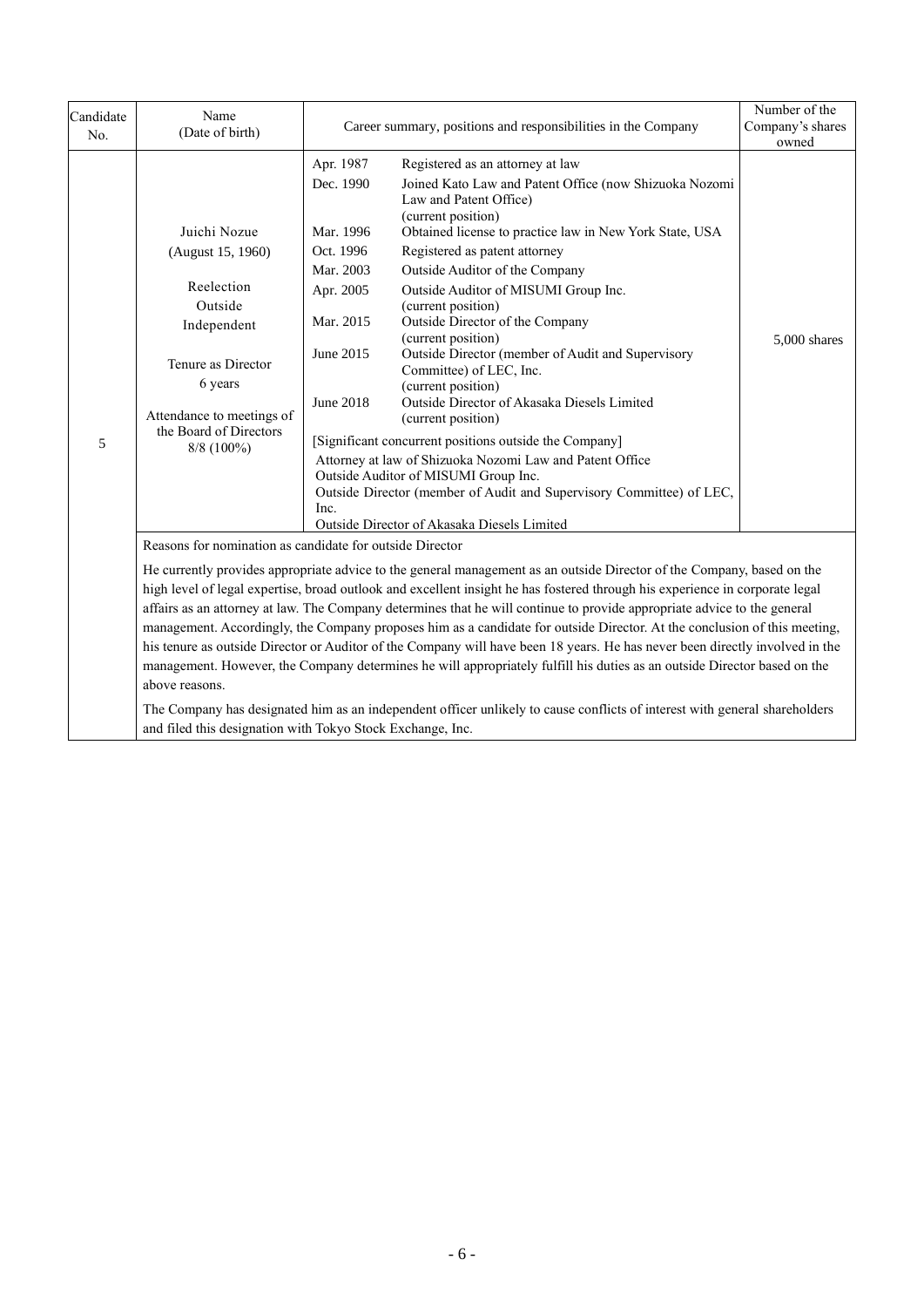| Candidate<br>No. | Name<br>(Date of birth)                                                                                                                                                                                                                                                                                                                                                                                                                                                                                                                                                                                                                                                                                                                                                                                                                                                                                                                                                                                                                               |                                                                                                                                  | Career summary, positions and responsibilities in the Company<br>Company's shares                                                                                                                                                                                                                                                                                                                                                                                                                                                                                                                                                                                                                                                                                                                                                                               |              |  |
|------------------|-------------------------------------------------------------------------------------------------------------------------------------------------------------------------------------------------------------------------------------------------------------------------------------------------------------------------------------------------------------------------------------------------------------------------------------------------------------------------------------------------------------------------------------------------------------------------------------------------------------------------------------------------------------------------------------------------------------------------------------------------------------------------------------------------------------------------------------------------------------------------------------------------------------------------------------------------------------------------------------------------------------------------------------------------------|----------------------------------------------------------------------------------------------------------------------------------|-----------------------------------------------------------------------------------------------------------------------------------------------------------------------------------------------------------------------------------------------------------------------------------------------------------------------------------------------------------------------------------------------------------------------------------------------------------------------------------------------------------------------------------------------------------------------------------------------------------------------------------------------------------------------------------------------------------------------------------------------------------------------------------------------------------------------------------------------------------------|--------------|--|
| 5                | Juichi Nozue<br>(August 15, 1960)<br>Reelection<br>Outside<br>Independent<br>Tenure as Director<br>6 years<br>Attendance to meetings of<br>the Board of Directors<br>$8/8$ (100%)                                                                                                                                                                                                                                                                                                                                                                                                                                                                                                                                                                                                                                                                                                                                                                                                                                                                     | Apr. 1987<br>Dec. 1990<br>Mar. 1996<br>Oct. 1996<br>Mar. 2003<br>Apr. 2005<br>Mar. 2015<br>June 2015<br><b>June 2018</b><br>Inc. | Registered as an attorney at law<br>Joined Kato Law and Patent Office (now Shizuoka Nozomi<br>Law and Patent Office)<br>(current position)<br>Obtained license to practice law in New York State, USA<br>Registered as patent attorney<br>Outside Auditor of the Company<br>Outside Auditor of MISUMI Group Inc.<br>(current position)<br>Outside Director of the Company<br>(current position)<br>Outside Director (member of Audit and Supervisory<br>Committee) of LEC, Inc.<br>(current position)<br>Outside Director of Akasaka Diesels Limited<br>(current position)<br>[Significant concurrent positions outside the Company]<br>Attorney at law of Shizuoka Nozomi Law and Patent Office<br>Outside Auditor of MISUMI Group Inc.<br>Outside Director (member of Audit and Supervisory Committee) of LEC,<br>Outside Director of Akasaka Diesels Limited | 5,000 shares |  |
|                  | Reasons for nomination as candidate for outside Director<br>He currently provides appropriate advice to the general management as an outside Director of the Company, based on the<br>high level of legal expertise, broad outlook and excellent insight he has fostered through his experience in corporate legal<br>affairs as an attorney at law. The Company determines that he will continue to provide appropriate advice to the general<br>management. Accordingly, the Company proposes him as a candidate for outside Director. At the conclusion of this meeting,<br>his tenure as outside Director or Auditor of the Company will have been 18 years. He has never been directly involved in the<br>management. However, the Company determines he will appropriately fulfill his duties as an outside Director based on the<br>above reasons.<br>The Company has designated him as an independent officer unlikely to cause conflicts of interest with general shareholders<br>and filed this designation with Tokyo Stock Exchange, Inc. |                                                                                                                                  |                                                                                                                                                                                                                                                                                                                                                                                                                                                                                                                                                                                                                                                                                                                                                                                                                                                                 |              |  |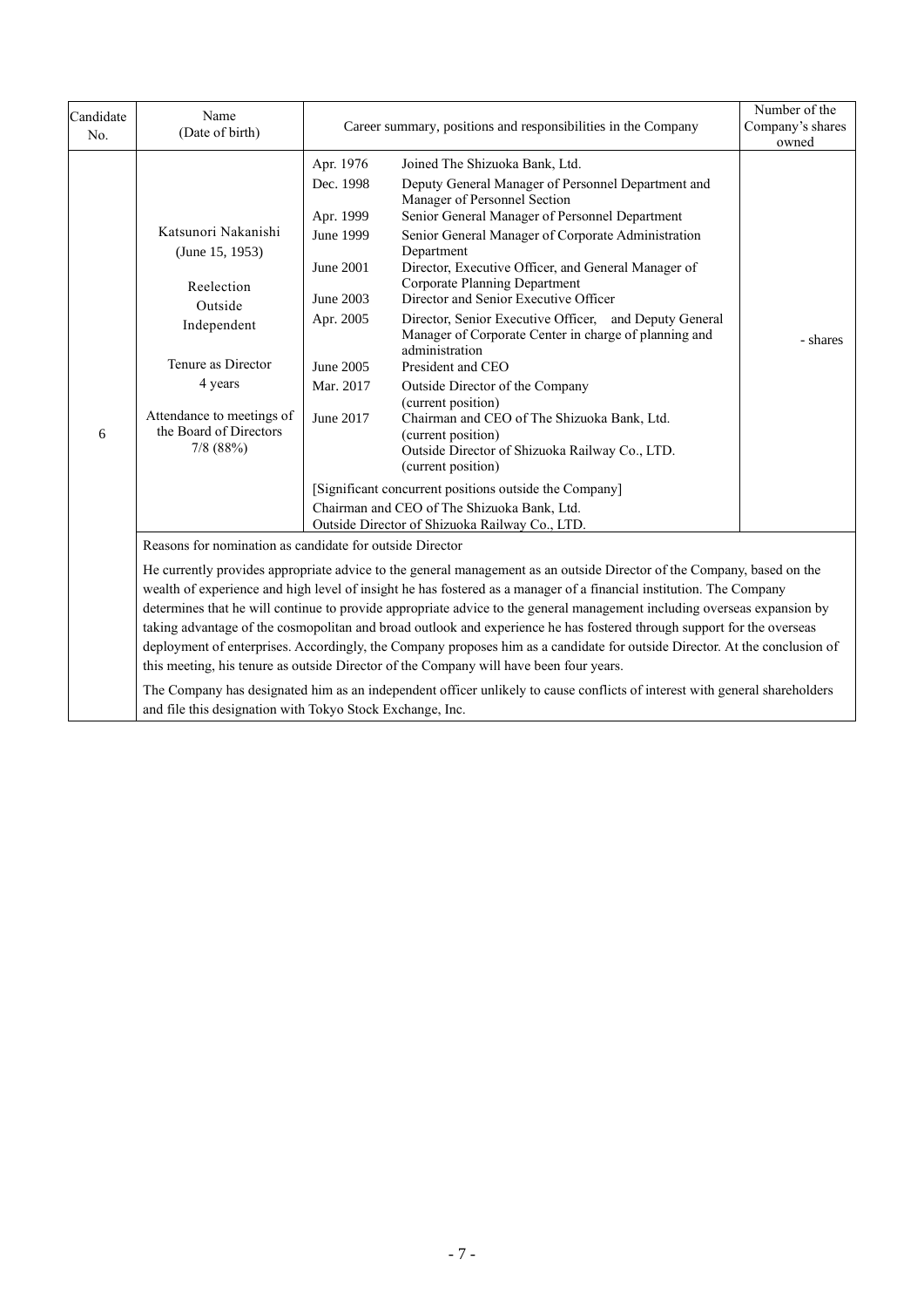| Candidate<br>No. | Name<br>(Date of birth)                                                                                                                                                                                                                                                                                                                                                                                                                                                                                                                                                                                                                                                                                                                                                                                                                                                                                               | Career summary, positions and responsibilities in the Company                                                                  | Number of the<br>Company's shares<br>owned                                                                                                                                                                                                                                                                                                                                                                                                                                                                                                                                                                                                                                                                                                                                                                                                                                                                    |          |  |  |
|------------------|-----------------------------------------------------------------------------------------------------------------------------------------------------------------------------------------------------------------------------------------------------------------------------------------------------------------------------------------------------------------------------------------------------------------------------------------------------------------------------------------------------------------------------------------------------------------------------------------------------------------------------------------------------------------------------------------------------------------------------------------------------------------------------------------------------------------------------------------------------------------------------------------------------------------------|--------------------------------------------------------------------------------------------------------------------------------|---------------------------------------------------------------------------------------------------------------------------------------------------------------------------------------------------------------------------------------------------------------------------------------------------------------------------------------------------------------------------------------------------------------------------------------------------------------------------------------------------------------------------------------------------------------------------------------------------------------------------------------------------------------------------------------------------------------------------------------------------------------------------------------------------------------------------------------------------------------------------------------------------------------|----------|--|--|
| 6                | Katsunori Nakanishi<br>(June 15, 1953)<br>Reelection<br>Outside<br>Independent<br>Tenure as Director<br>4 years<br>Attendance to meetings of<br>the Board of Directors<br>$7/8$ (88%)                                                                                                                                                                                                                                                                                                                                                                                                                                                                                                                                                                                                                                                                                                                                 | Apr. 1976<br>Dec. 1998<br>Apr. 1999<br>June 1999<br>June 2001<br>June 2003<br>Apr. 2005<br>June 2005<br>Mar. 2017<br>June 2017 | Joined The Shizuoka Bank, Ltd.<br>Deputy General Manager of Personnel Department and<br>Manager of Personnel Section<br>Senior General Manager of Personnel Department<br>Senior General Manager of Corporate Administration<br>Department<br>Director, Executive Officer, and General Manager of<br><b>Corporate Planning Department</b><br>Director and Senior Executive Officer<br>Director, Senior Executive Officer, and Deputy General<br>Manager of Corporate Center in charge of planning and<br>administration<br>President and CEO<br>Outside Director of the Company<br>(current position)<br>Chairman and CEO of The Shizuoka Bank, Ltd.<br>(current position)<br>Outside Director of Shizuoka Railway Co., LTD.<br>(current position)<br>[Significant concurrent positions outside the Company]<br>Chairman and CEO of The Shizuoka Bank, Ltd.<br>Outside Director of Shizuoka Railway Co., LTD. | - shares |  |  |
|                  | Reasons for nomination as candidate for outside Director<br>He currently provides appropriate advice to the general management as an outside Director of the Company, based on the<br>wealth of experience and high level of insight he has fostered as a manager of a financial institution. The Company<br>determines that he will continue to provide appropriate advice to the general management including overseas expansion by<br>taking advantage of the cosmopolitan and broad outlook and experience he has fostered through support for the overseas<br>deployment of enterprises. Accordingly, the Company proposes him as a candidate for outside Director. At the conclusion of<br>this meeting, his tenure as outside Director of the Company will have been four years.<br>The Company has designated him as an independent officer unlikely to cause conflicts of interest with general shareholders |                                                                                                                                |                                                                                                                                                                                                                                                                                                                                                                                                                                                                                                                                                                                                                                                                                                                                                                                                                                                                                                               |          |  |  |

and file this designation with Tokyo Stock Exchange, Inc.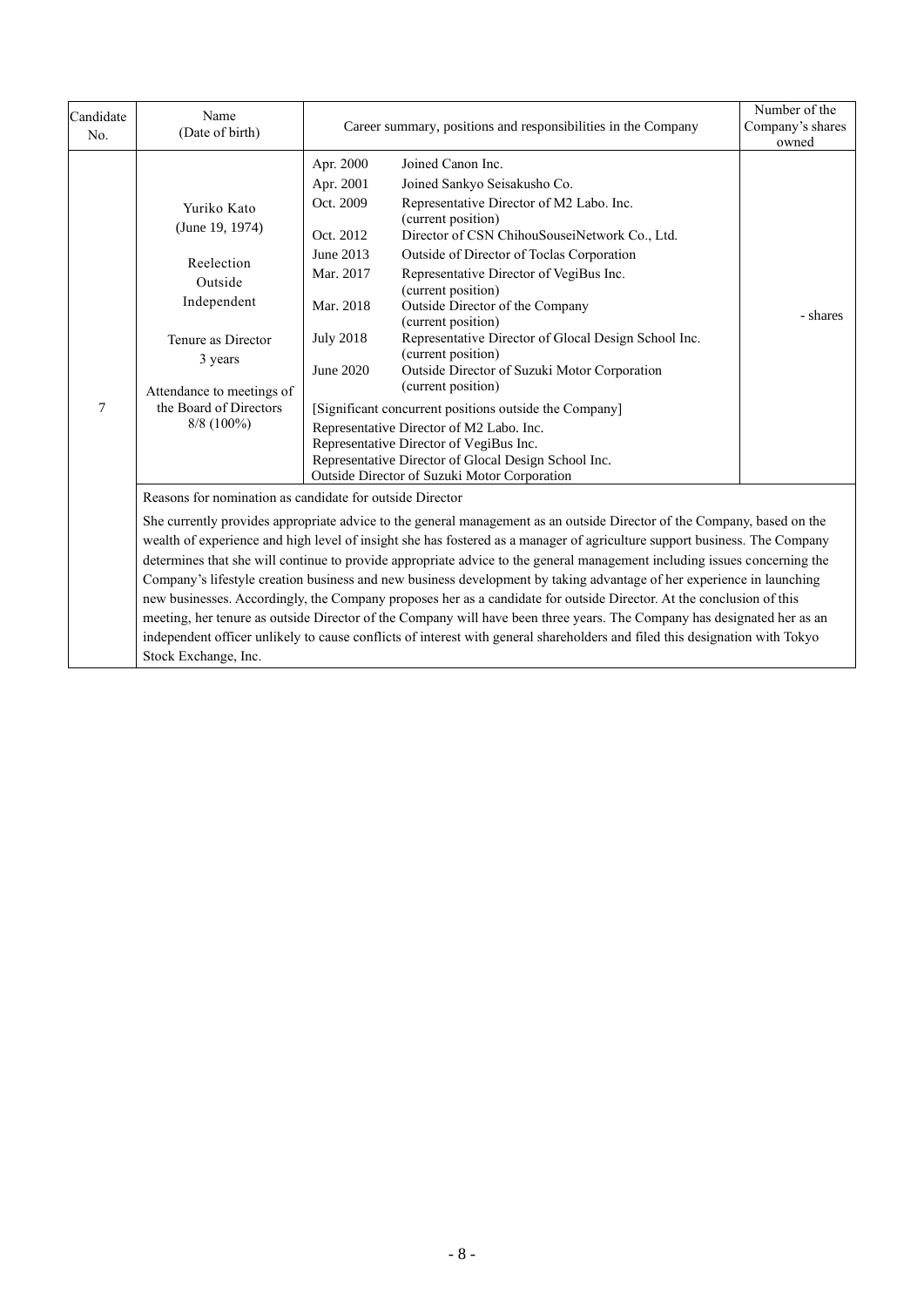| Candidate<br>No. | Name<br>(Date of birth)                                                                                                                                                                                                                                                                                                                                                                                                                                                                                                                                                                                                                                                                                                                                                                                                                                                                                                                                  | Career summary, positions and responsibilities in the Company                                                            | Number of the<br>Company's shares<br>owned                                                                                                                                                                                                                                                                                                                                                                                                                                                                                                                                                                                                                                                                                                               |          |  |
|------------------|----------------------------------------------------------------------------------------------------------------------------------------------------------------------------------------------------------------------------------------------------------------------------------------------------------------------------------------------------------------------------------------------------------------------------------------------------------------------------------------------------------------------------------------------------------------------------------------------------------------------------------------------------------------------------------------------------------------------------------------------------------------------------------------------------------------------------------------------------------------------------------------------------------------------------------------------------------|--------------------------------------------------------------------------------------------------------------------------|----------------------------------------------------------------------------------------------------------------------------------------------------------------------------------------------------------------------------------------------------------------------------------------------------------------------------------------------------------------------------------------------------------------------------------------------------------------------------------------------------------------------------------------------------------------------------------------------------------------------------------------------------------------------------------------------------------------------------------------------------------|----------|--|
| 7                | Yuriko Kato<br>(June 19, 1974)<br>Reelection<br>Outside<br>Independent<br>Tenure as Director<br>3 years<br>Attendance to meetings of<br>the Board of Directors<br>$8/8$ (100%)                                                                                                                                                                                                                                                                                                                                                                                                                                                                                                                                                                                                                                                                                                                                                                           | Apr. 2000<br>Apr. 2001<br>Oct. 2009<br>Oct. 2012<br>June 2013<br>Mar. 2017<br>Mar. 2018<br><b>July 2018</b><br>June 2020 | Joined Canon Inc.<br>Joined Sankyo Seisakusho Co.<br>Representative Director of M2 Labo. Inc.<br>(current position)<br>Director of CSN ChihouSouseiNetwork Co., Ltd.<br>Outside of Director of Toclas Corporation<br>Representative Director of VegiBus Inc.<br>(current position)<br>Outside Director of the Company<br>(current position)<br>Representative Director of Glocal Design School Inc.<br>(current position)<br>Outside Director of Suzuki Motor Corporation<br>(current position)<br>[Significant concurrent positions outside the Company]<br>Representative Director of M2 Labo. Inc.<br>Representative Director of VegiBus Inc.<br>Representative Director of Glocal Design School Inc.<br>Outside Director of Suzuki Motor Corporation | - shares |  |
|                  | Reasons for nomination as candidate for outside Director<br>She currently provides appropriate advice to the general management as an outside Director of the Company, based on the<br>wealth of experience and high level of insight she has fostered as a manager of agriculture support business. The Company<br>determines that she will continue to provide appropriate advice to the general management including issues concerning the<br>Company's lifestyle creation business and new business development by taking advantage of her experience in launching<br>new businesses. Accordingly, the Company proposes her as a candidate for outside Director. At the conclusion of this<br>meeting, her tenure as outside Director of the Company will have been three years. The Company has designated her as an<br>independent officer unlikely to cause conflicts of interest with general shareholders and filed this designation with Tokyo |                                                                                                                          |                                                                                                                                                                                                                                                                                                                                                                                                                                                                                                                                                                                                                                                                                                                                                          |          |  |

Stock Exchange, Inc.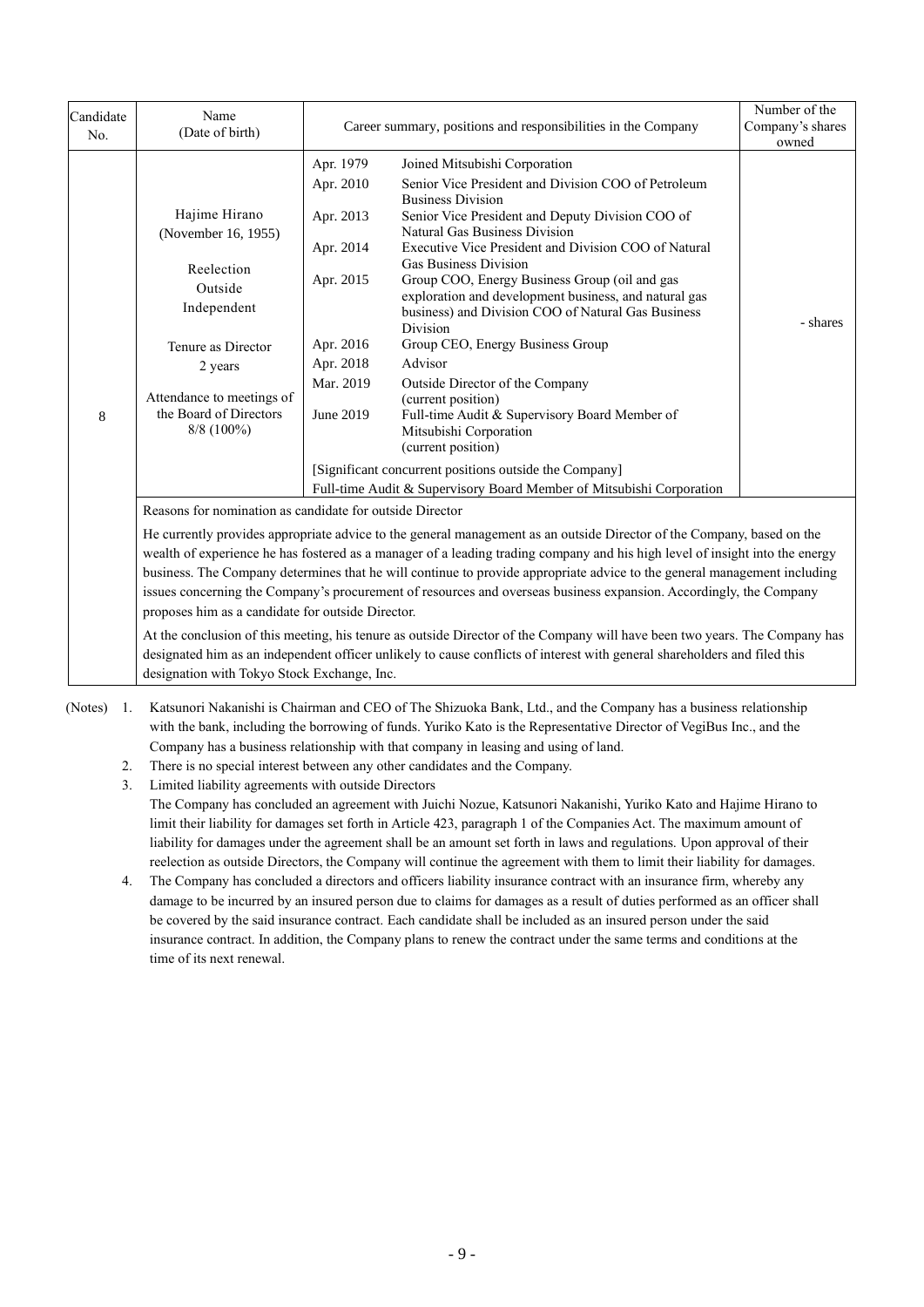| Candidate<br>No. | Name<br>(Date of birth)                                                                                                                                                                                                                                                                                                                                                                                                                                                                                                                                                                                                                                                                                                                                                                                                                                                              | Career summary, positions and responsibilities in the Company                                                     | Number of the<br>Company's shares<br>owned                                                                                                                                                                                                                                                                                                                                                                                                                                                                                                                                                                                                                                                                                                                                                                           |          |  |
|------------------|--------------------------------------------------------------------------------------------------------------------------------------------------------------------------------------------------------------------------------------------------------------------------------------------------------------------------------------------------------------------------------------------------------------------------------------------------------------------------------------------------------------------------------------------------------------------------------------------------------------------------------------------------------------------------------------------------------------------------------------------------------------------------------------------------------------------------------------------------------------------------------------|-------------------------------------------------------------------------------------------------------------------|----------------------------------------------------------------------------------------------------------------------------------------------------------------------------------------------------------------------------------------------------------------------------------------------------------------------------------------------------------------------------------------------------------------------------------------------------------------------------------------------------------------------------------------------------------------------------------------------------------------------------------------------------------------------------------------------------------------------------------------------------------------------------------------------------------------------|----------|--|
| 8                | Hajime Hirano<br>(November 16, 1955)<br>Reelection<br>Outside<br>Independent<br>Tenure as Director<br>2 years<br>Attendance to meetings of<br>the Board of Directors<br>$8/8$ (100%)                                                                                                                                                                                                                                                                                                                                                                                                                                                                                                                                                                                                                                                                                                 | Apr. 1979<br>Apr. 2010<br>Apr. 2013<br>Apr. 2014<br>Apr. 2015<br>Apr. 2016<br>Apr. 2018<br>Mar. 2019<br>June 2019 | Joined Mitsubishi Corporation<br>Senior Vice President and Division COO of Petroleum<br><b>Business Division</b><br>Senior Vice President and Deputy Division COO of<br>Natural Gas Business Division<br>Executive Vice President and Division COO of Natural<br><b>Gas Business Division</b><br>Group COO, Energy Business Group (oil and gas<br>exploration and development business, and natural gas<br>business) and Division COO of Natural Gas Business<br>Division<br>Group CEO, Energy Business Group<br>Advisor<br>Outside Director of the Company<br>(current position)<br>Full-time Audit & Supervisory Board Member of<br>Mitsubishi Corporation<br>(current position)<br>[Significant concurrent positions outside the Company]<br>Full-time Audit & Supervisory Board Member of Mitsubishi Corporation | - shares |  |
|                  | Reasons for nomination as candidate for outside Director<br>He currently provides appropriate advice to the general management as an outside Director of the Company, based on the<br>wealth of experience he has fostered as a manager of a leading trading company and his high level of insight into the energy<br>business. The Company determines that he will continue to provide appropriate advice to the general management including<br>issues concerning the Company's procurement of resources and overseas business expansion. Accordingly, the Company<br>proposes him as a candidate for outside Director.<br>At the conclusion of this meeting, his tenure as outside Director of the Company will have been two years. The Company has<br>designated him as an independent officer unlikely to cause conflicts of interest with general shareholders and filed this |                                                                                                                   |                                                                                                                                                                                                                                                                                                                                                                                                                                                                                                                                                                                                                                                                                                                                                                                                                      |          |  |

designation with Tokyo Stock Exchange, Inc.

- (Notes) 1. Katsunori Nakanishi is Chairman and CEO of The Shizuoka Bank, Ltd., and the Company has a business relationship with the bank, including the borrowing of funds. Yuriko Kato is the Representative Director of VegiBus Inc., and the Company has a business relationship with that company in leasing and using of land.
	- 2. There is no special interest between any other candidates and the Company.
	- 3. Limited liability agreements with outside Directors The Company has concluded an agreement with Juichi Nozue, Katsunori Nakanishi, Yuriko Kato and Hajime Hirano to limit their liability for damages set forth in Article 423, paragraph 1 of the Companies Act. The maximum amount of liability for damages under the agreement shall be an amount set forth in laws and regulations. Upon approval of their reelection as outside Directors, the Company will continue the agreement with them to limit their liability for damages.
	- 4. The Company has concluded a directors and officers liability insurance contract with an insurance firm, whereby any damage to be incurred by an insured person due to claims for damages as a result of duties performed as an officer shall be covered by the said insurance contract. Each candidate shall be included as an insured person under the said insurance contract. In addition, the Company plans to renew the contract under the same terms and conditions at the time of its next renewal.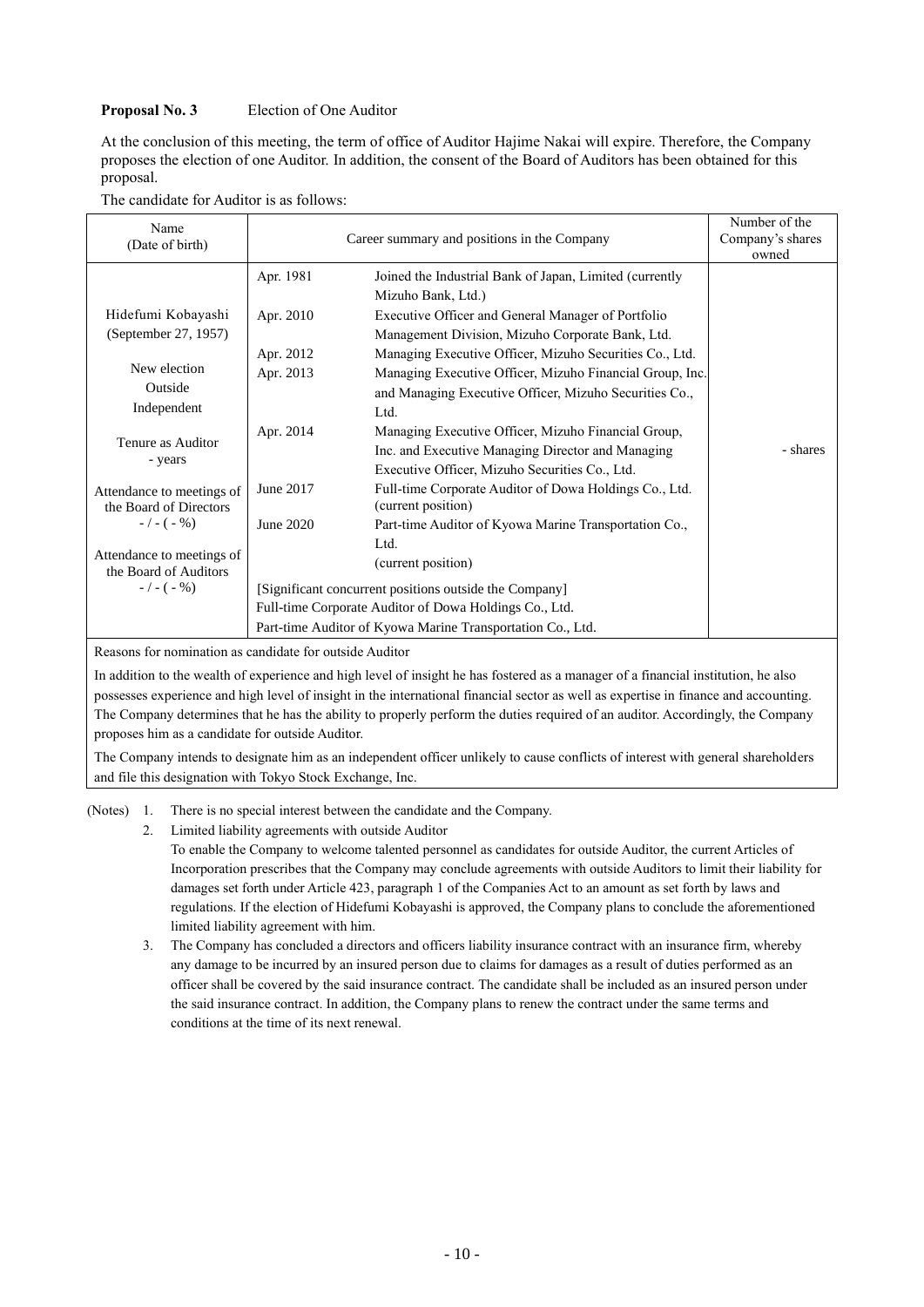## **Proposal No. 3** Election of One Auditor

At the conclusion of this meeting, the term of office of Auditor Hajime Nakai will expire. Therefore, the Company proposes the election of one Auditor. In addition, the consent of the Board of Auditors has been obtained for this proposal.

|  | The candidate for Auditor is as follows: |  |  |  |  |  |  |
|--|------------------------------------------|--|--|--|--|--|--|
|--|------------------------------------------|--|--|--|--|--|--|

| Name<br>(Date of birth)                             | Career summary and positions in the Company            | Number of the<br>Company's shares<br>owned                                   |          |
|-----------------------------------------------------|--------------------------------------------------------|------------------------------------------------------------------------------|----------|
|                                                     | Apr. 1981                                              | Joined the Industrial Bank of Japan, Limited (currently                      |          |
|                                                     |                                                        | Mizuho Bank, Ltd.)                                                           |          |
| Hidefumi Kobayashi                                  | Apr. 2010                                              | Executive Officer and General Manager of Portfolio                           |          |
| (September 27, 1957)                                |                                                        | Management Division, Mizuho Corporate Bank, Ltd.                             |          |
|                                                     | Apr. 2012                                              | Managing Executive Officer, Mizuho Securities Co., Ltd.                      |          |
| New election                                        | Apr. 2013                                              | Managing Executive Officer, Mizuho Financial Group, Inc.                     |          |
| Outside                                             |                                                        | and Managing Executive Officer, Mizuho Securities Co.,                       |          |
| Independent                                         |                                                        | Ltd.                                                                         |          |
| Tenure as Auditor                                   | Apr. 2014                                              | Managing Executive Officer, Mizuho Financial Group,                          |          |
|                                                     |                                                        | Inc. and Executive Managing Director and Managing                            | - shares |
| - years                                             |                                                        | Executive Officer, Mizuho Securities Co., Ltd.                               |          |
| Attendance to meetings of<br>the Board of Directors | June 2017                                              | Full-time Corporate Auditor of Dowa Holdings Co., Ltd.<br>(current position) |          |
| $-/- (-\% )$                                        | June 2020                                              | Part-time Auditor of Kyowa Marine Transportation Co.,                        |          |
|                                                     |                                                        | Ltd.                                                                         |          |
| Attendance to meetings of<br>the Board of Auditors  |                                                        | (current position)                                                           |          |
| $-/- (-\% )$                                        | [Significant concurrent positions outside the Company] |                                                                              |          |
|                                                     | Full-time Corporate Auditor of Dowa Holdings Co., Ltd. |                                                                              |          |
|                                                     |                                                        | Part-time Auditor of Kyowa Marine Transportation Co., Ltd.                   |          |

Reasons for nomination as candidate for outside Auditor

In addition to the wealth of experience and high level of insight he has fostered as a manager of a financial institution, he also possesses experience and high level of insight in the international financial sector as well as expertise in finance and accounting. The Company determines that he has the ability to properly perform the duties required of an auditor. Accordingly, the Company proposes him as a candidate for outside Auditor.

The Company intends to designate him as an independent officer unlikely to cause conflicts of interest with general shareholders and file this designation with Tokyo Stock Exchange, Inc.

(Notes) 1. There is no special interest between the candidate and the Company.

2. Limited liability agreements with outside Auditor

To enable the Company to welcome talented personnel as candidates for outside Auditor, the current Articles of Incorporation prescribes that the Company may conclude agreements with outside Auditors to limit their liability for damages set forth under Article 423, paragraph 1 of the Companies Act to an amount as set forth by laws and regulations. If the election of Hidefumi Kobayashi is approved, the Company plans to conclude the aforementioned limited liability agreement with him.

3. The Company has concluded a directors and officers liability insurance contract with an insurance firm, whereby any damage to be incurred by an insured person due to claims for damages as a result of duties performed as an officer shall be covered by the said insurance contract. The candidate shall be included as an insured person under the said insurance contract. In addition, the Company plans to renew the contract under the same terms and conditions at the time of its next renewal.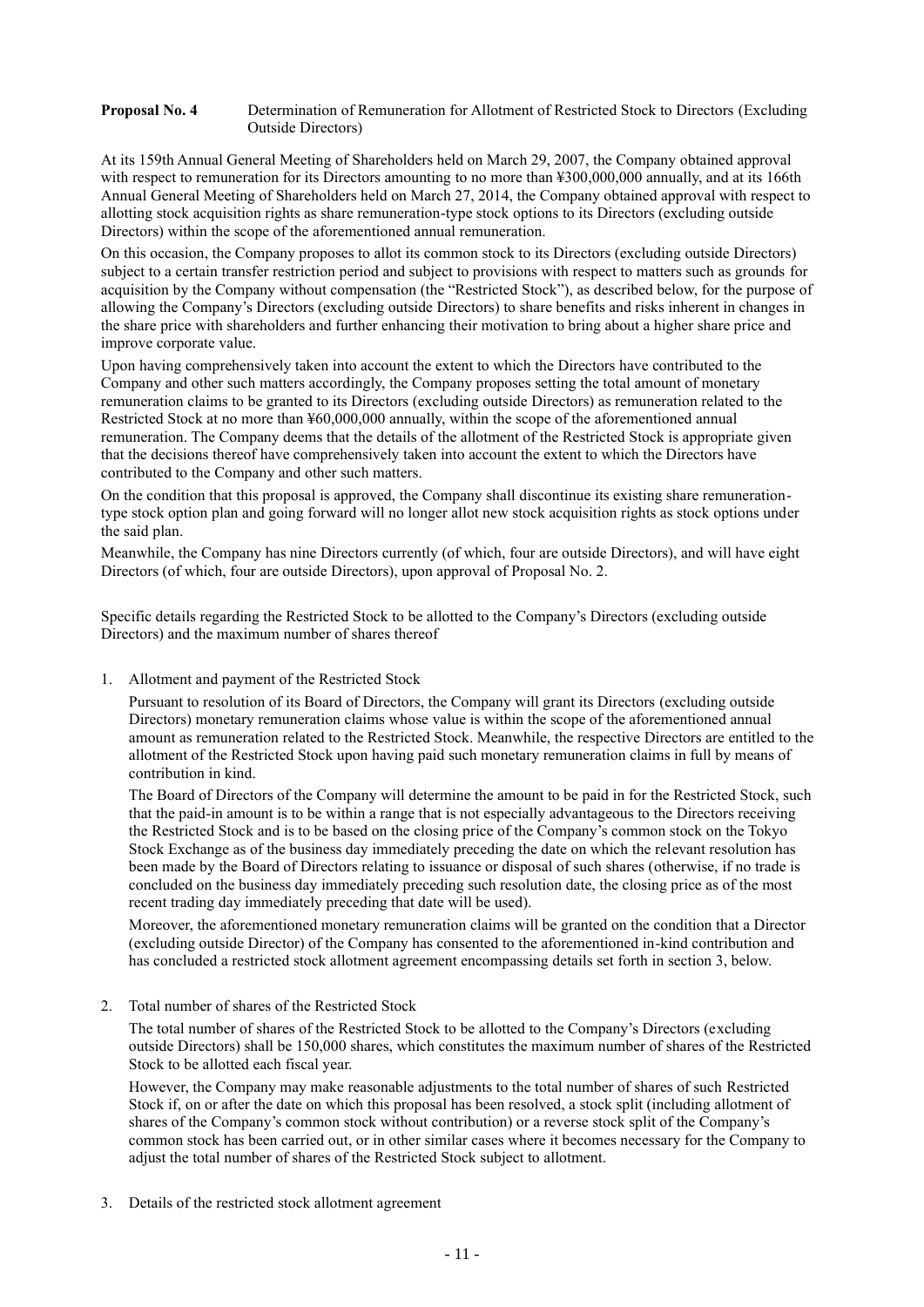#### **Proposal No. 4** Determination of Remuneration for Allotment of Restricted Stock to Directors (Excluding Outside Directors)

At its 159th Annual General Meeting of Shareholders held on March 29, 2007, the Company obtained approval with respect to remuneration for its Directors amounting to no more than ¥300,000,000 annually, and at its 166th Annual General Meeting of Shareholders held on March 27, 2014, the Company obtained approval with respect to allotting stock acquisition rights as share remuneration-type stock options to its Directors (excluding outside Directors) within the scope of the aforementioned annual remuneration.

On this occasion, the Company proposes to allot its common stock to its Directors (excluding outside Directors) subject to a certain transfer restriction period and subject to provisions with respect to matters such as grounds for acquisition by the Company without compensation (the "Restricted Stock"), as described below, for the purpose of allowing the Company's Directors (excluding outside Directors) to share benefits and risks inherent in changes in the share price with shareholders and further enhancing their motivation to bring about a higher share price and improve corporate value.

Upon having comprehensively taken into account the extent to which the Directors have contributed to the Company and other such matters accordingly, the Company proposes setting the total amount of monetary remuneration claims to be granted to its Directors (excluding outside Directors) as remuneration related to the Restricted Stock at no more than ¥60,000,000 annually, within the scope of the aforementioned annual remuneration. The Company deems that the details of the allotment of the Restricted Stock is appropriate given that the decisions thereof have comprehensively taken into account the extent to which the Directors have contributed to the Company and other such matters.

On the condition that this proposal is approved, the Company shall discontinue its existing share remunerationtype stock option plan and going forward will no longer allot new stock acquisition rights as stock options under the said plan.

Meanwhile, the Company has nine Directors currently (of which, four are outside Directors), and will have eight Directors (of which, four are outside Directors), upon approval of Proposal No. 2.

Specific details regarding the Restricted Stock to be allotted to the Company's Directors (excluding outside Directors) and the maximum number of shares thereof

### 1. Allotment and payment of the Restricted Stock

Pursuant to resolution of its Board of Directors, the Company will grant its Directors (excluding outside Directors) monetary remuneration claims whose value is within the scope of the aforementioned annual amount as remuneration related to the Restricted Stock. Meanwhile, the respective Directors are entitled to the allotment of the Restricted Stock upon having paid such monetary remuneration claims in full by means of contribution in kind.

The Board of Directors of the Company will determine the amount to be paid in for the Restricted Stock, such that the paid-in amount is to be within a range that is not especially advantageous to the Directors receiving the Restricted Stock and is to be based on the closing price of the Company's common stock on the Tokyo Stock Exchange as of the business day immediately preceding the date on which the relevant resolution has been made by the Board of Directors relating to issuance or disposal of such shares (otherwise, if no trade is concluded on the business day immediately preceding such resolution date, the closing price as of the most recent trading day immediately preceding that date will be used).

Moreover, the aforementioned monetary remuneration claims will be granted on the condition that a Director (excluding outside Director) of the Company has consented to the aforementioned in-kind contribution and has concluded a restricted stock allotment agreement encompassing details set forth in section 3, below.

#### 2. Total number of shares of the Restricted Stock

The total number of shares of the Restricted Stock to be allotted to the Company's Directors (excluding outside Directors) shall be 150,000 shares, which constitutes the maximum number of shares of the Restricted Stock to be allotted each fiscal year.

However, the Company may make reasonable adjustments to the total number of shares of such Restricted Stock if, on or after the date on which this proposal has been resolved, a stock split (including allotment of shares of the Company's common stock without contribution) or a reverse stock split of the Company's common stock has been carried out, or in other similar cases where it becomes necessary for the Company to adjust the total number of shares of the Restricted Stock subject to allotment.

3. Details of the restricted stock allotment agreement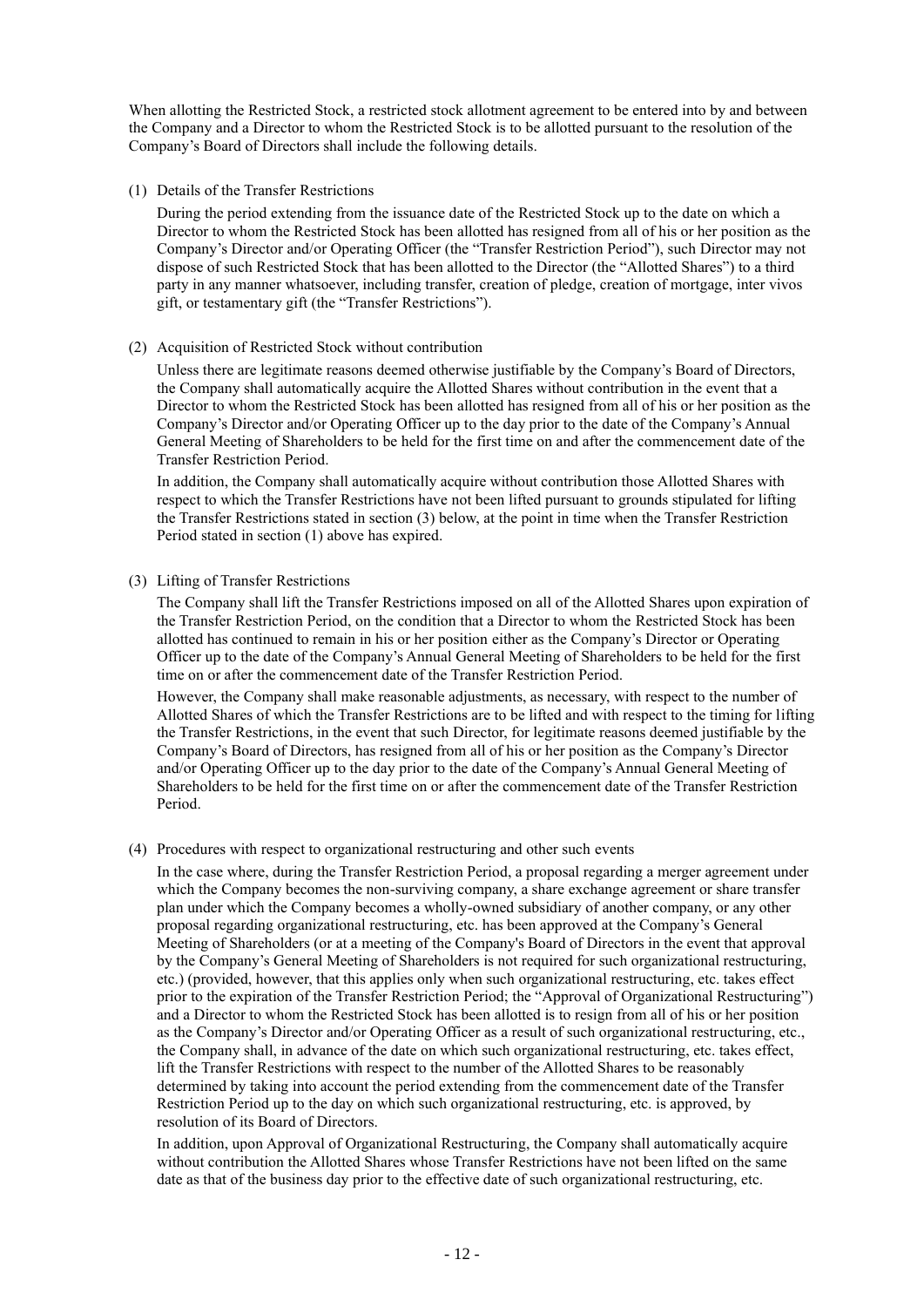When allotting the Restricted Stock, a restricted stock allotment agreement to be entered into by and between the Company and a Director to whom the Restricted Stock is to be allotted pursuant to the resolution of the Company's Board of Directors shall include the following details.

#### (1) Details of the Transfer Restrictions

During the period extending from the issuance date of the Restricted Stock up to the date on which a Director to whom the Restricted Stock has been allotted has resigned from all of his or her position as the Company's Director and/or Operating Officer (the "Transfer Restriction Period"), such Director may not dispose of such Restricted Stock that has been allotted to the Director (the "Allotted Shares") to a third party in any manner whatsoever, including transfer, creation of pledge, creation of mortgage, inter vivos gift, or testamentary gift (the "Transfer Restrictions").

### (2) Acquisition of Restricted Stock without contribution

Unless there are legitimate reasons deemed otherwise justifiable by the Company's Board of Directors, the Company shall automatically acquire the Allotted Shares without contribution in the event that a Director to whom the Restricted Stock has been allotted has resigned from all of his or her position as the Company's Director and/or Operating Officer up to the day prior to the date of the Company's Annual General Meeting of Shareholders to be held for the first time on and after the commencement date of the Transfer Restriction Period.

In addition, the Company shall automatically acquire without contribution those Allotted Shares with respect to which the Transfer Restrictions have not been lifted pursuant to grounds stipulated for lifting the Transfer Restrictions stated in section (3) below, at the point in time when the Transfer Restriction Period stated in section (1) above has expired.

## (3) Lifting of Transfer Restrictions

The Company shall lift the Transfer Restrictions imposed on all of the Allotted Shares upon expiration of the Transfer Restriction Period, on the condition that a Director to whom the Restricted Stock has been allotted has continued to remain in his or her position either as the Company's Director or Operating Officer up to the date of the Company's Annual General Meeting of Shareholders to be held for the first time on or after the commencement date of the Transfer Restriction Period.

However, the Company shall make reasonable adjustments, as necessary, with respect to the number of Allotted Shares of which the Transfer Restrictions are to be lifted and with respect to the timing for lifting the Transfer Restrictions, in the event that such Director, for legitimate reasons deemed justifiable by the Company's Board of Directors, has resigned from all of his or her position as the Company's Director and/or Operating Officer up to the day prior to the date of the Company's Annual General Meeting of Shareholders to be held for the first time on or after the commencement date of the Transfer Restriction Period.

### (4) Procedures with respect to organizational restructuring and other such events

In the case where, during the Transfer Restriction Period, a proposal regarding a merger agreement under which the Company becomes the non-surviving company, a share exchange agreement or share transfer plan under which the Company becomes a wholly-owned subsidiary of another company, or any other proposal regarding organizational restructuring, etc. has been approved at the Company's General Meeting of Shareholders (or at a meeting of the Company's Board of Directors in the event that approval by the Company's General Meeting of Shareholders is not required for such organizational restructuring, etc.) (provided, however, that this applies only when such organizational restructuring, etc. takes effect prior to the expiration of the Transfer Restriction Period; the "Approval of Organizational Restructuring") and a Director to whom the Restricted Stock has been allotted is to resign from all of his or her position as the Company's Director and/or Operating Officer as a result of such organizational restructuring, etc., the Company shall, in advance of the date on which such organizational restructuring, etc. takes effect, lift the Transfer Restrictions with respect to the number of the Allotted Shares to be reasonably determined by taking into account the period extending from the commencement date of the Transfer Restriction Period up to the day on which such organizational restructuring, etc. is approved, by resolution of its Board of Directors.

In addition, upon Approval of Organizational Restructuring, the Company shall automatically acquire without contribution the Allotted Shares whose Transfer Restrictions have not been lifted on the same date as that of the business day prior to the effective date of such organizational restructuring, etc.